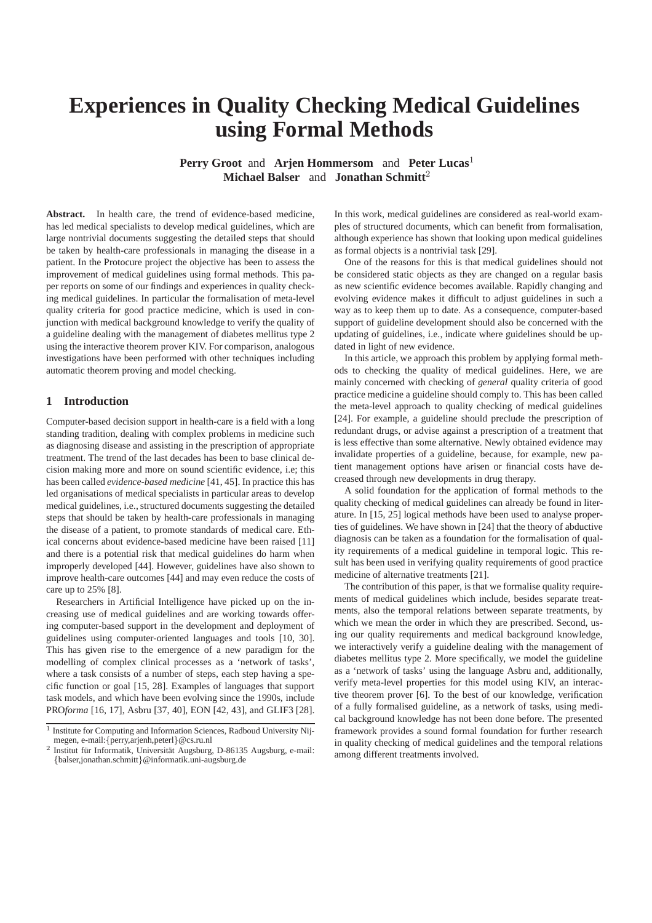# **Experiences in Quality Checking Medical Guidelines using Formal Methods**

**Perry Groot** and **Arjen Hommersom** and **Peter Lucas**<sup>1</sup> **Michael Balser** and **Jonathan Schmitt**<sup>2</sup>

**Abstract.** In health care, the trend of evidence-based medicine, has led medical specialists to develop medical guidelines, which are large nontrivial documents suggesting the detailed steps that should be taken by health-care professionals in managing the disease in a patient. In the Protocure project the objective has been to assess the improvement of medical guidelines using formal methods. This paper reports on some of our findings and experiences in quality checking medical guidelines. In particular the formalisation of meta-level quality criteria for good practice medicine, which is used in conjunction with medical background knowledge to verify the quality of a guideline dealing with the management of diabetes mellitus type 2 using the interactive theorem prover KIV. For comparison, analogous investigations have been performed with other techniques including automatic theorem proving and model checking.

#### **1 Introduction**

Computer-based decision support in health-care is a field with a long standing tradition, dealing with complex problems in medicine such as diagnosing disease and assisting in the prescription of appropriate treatment. The trend of the last decades has been to base clinical decision making more and more on sound scientific evidence, i.e; this has been called *evidence-based medicine* [41, 45]. In practice this has led organisations of medical specialists in particular areas to develop medical guidelines, i.e., structured documents suggesting the detailed steps that should be taken by health-care professionals in managing the disease of a patient, to promote standards of medical care. Ethical concerns about evidence-based medicine have been raised [11] and there is a potential risk that medical guidelines do harm when improperly developed [44]. However, guidelines have also shown to improve health-care outcomes [44] and may even reduce the costs of care up to 25% [8].

Researchers in Artificial Intelligence have picked up on the increasing use of medical guidelines and are working towards offering computer-based support in the development and deployment of guidelines using computer-oriented languages and tools [10, 30]. This has given rise to the emergence of a new paradigm for the modelling of complex clinical processes as a 'network of tasks', where a task consists of a number of steps, each step having a specific function or goal [15, 28]. Examples of languages that support task models, and which have been evolving since the 1990s, include PRO*forma* [16, 17], Asbru [37, 40], EON [42, 43], and GLIF3 [28]. In this work, medical guidelines are considered as real-world examples of structured documents, which can benefit from formalisation, although experience has shown that looking upon medical guidelines as formal objects is a nontrivial task [29].

One of the reasons for this is that medical guidelines should not be considered static objects as they are changed on a regular basis as new scientific evidence becomes available. Rapidly changing and evolving evidence makes it difficult to adjust guidelines in such a way as to keep them up to date. As a consequence, computer-based support of guideline development should also be concerned with the updating of guidelines, i.e., indicate where guidelines should be updated in light of new evidence.

In this article, we approach this problem by applying formal methods to checking the quality of medical guidelines. Here, we are mainly concerned with checking of *general* quality criteria of good practice medicine a guideline should comply to. This has been called the meta-level approach to quality checking of medical guidelines [24]. For example, a guideline should preclude the prescription of redundant drugs, or advise against a prescription of a treatment that is less effective than some alternative. Newly obtained evidence may invalidate properties of a guideline, because, for example, new patient management options have arisen or financial costs have decreased through new developments in drug therapy.

A solid foundation for the application of formal methods to the quality checking of medical guidelines can already be found in literature. In [15, 25] logical methods have been used to analyse properties of guidelines. We have shown in [24] that the theory of abductive diagnosis can be taken as a foundation for the formalisation of quality requirements of a medical guideline in temporal logic. This result has been used in verifying quality requirements of good practice medicine of alternative treatments [21].

The contribution of this paper, is that we formalise quality requirements of medical guidelines which include, besides separate treatments, also the temporal relations between separate treatments, by which we mean the order in which they are prescribed. Second, using our quality requirements and medical background knowledge, we interactively verify a guideline dealing with the management of diabetes mellitus type 2. More specifically, we model the guideline as a 'network of tasks' using the language Asbru and, additionally, verify meta-level properties for this model using KIV, an interactive theorem prover [6]. To the best of our knowledge, verification of a fully formalised guideline, as a network of tasks, using medical background knowledge has not been done before. The presented framework provides a sound formal foundation for further research in quality checking of medical guidelines and the temporal relations among different treatments involved.

<sup>&</sup>lt;sup>1</sup> Institute for Computing and Information Sciences, Radboud University Nijmegen, e-mail:{perry,arjenh,peterl}@cs.ru.nl

<sup>&</sup>lt;sup>2</sup> Institut für Informatik, Universität Augsburg, D-86135 Augsburg, e-mail: {balser,jonathan.schmitt}@informatik.uni-augsburg.de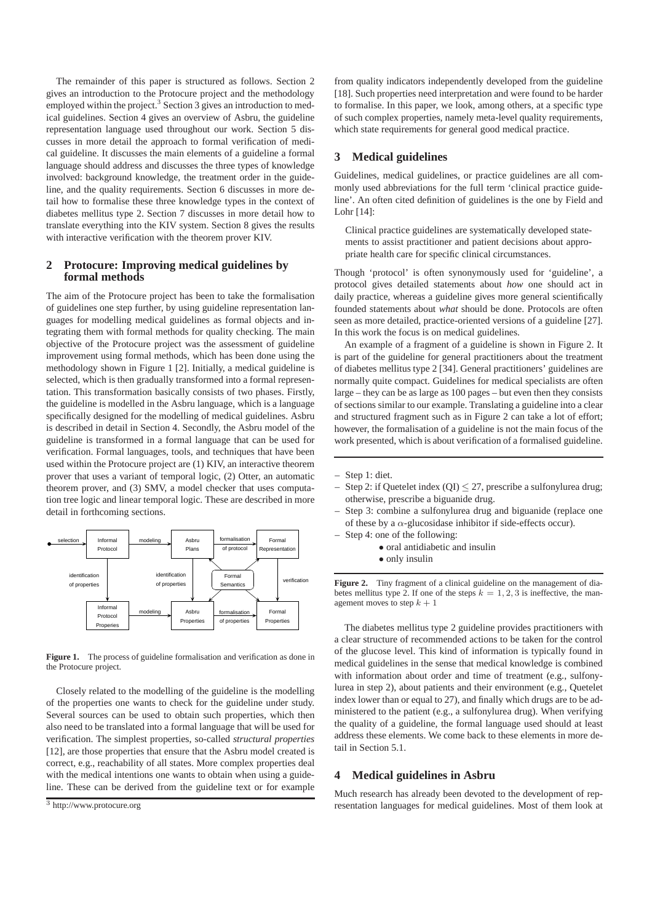The remainder of this paper is structured as follows. Section 2 gives an introduction to the Protocure project and the methodology employed within the project.<sup>3</sup> Section 3 gives an introduction to medical guidelines. Section 4 gives an overview of Asbru, the guideline representation language used throughout our work. Section 5 discusses in more detail the approach to formal verification of medical guideline. It discusses the main elements of a guideline a formal language should address and discusses the three types of knowledge involved: background knowledge, the treatment order in the guideline, and the quality requirements. Section 6 discusses in more detail how to formalise these three knowledge types in the context of diabetes mellitus type 2. Section 7 discusses in more detail how to translate everything into the KIV system. Section 8 gives the results with interactive verification with the theorem prover KIV.

#### **2 Protocure: Improving medical guidelines by formal methods**

The aim of the Protocure project has been to take the formalisation of guidelines one step further, by using guideline representation languages for modelling medical guidelines as formal objects and integrating them with formal methods for quality checking. The main objective of the Protocure project was the assessment of guideline improvement using formal methods, which has been done using the methodology shown in Figure 1 [2]. Initially, a medical guideline is selected, which is then gradually transformed into a formal representation. This transformation basically consists of two phases. Firstly, the guideline is modelled in the Asbru language, which is a language specifically designed for the modelling of medical guidelines. Asbru is described in detail in Section 4. Secondly, the Asbru model of the guideline is transformed in a formal language that can be used for verification. Formal languages, tools, and techniques that have been used within the Protocure project are (1) KIV, an interactive theorem prover that uses a variant of temporal logic, (2) Otter, an automatic theorem prover, and (3) SMV, a model checker that uses computation tree logic and linear temporal logic. These are described in more detail in forthcoming sections.



**Figure 1.** The process of guideline formalisation and verification as done in the Protocure project.

Closely related to the modelling of the guideline is the modelling of the properties one wants to check for the guideline under study. Several sources can be used to obtain such properties, which then also need to be translated into a formal language that will be used for verification. The simplest properties, so-called *structural properties* [12], are those properties that ensure that the Asbru model created is correct, e.g., reachability of all states. More complex properties deal with the medical intentions one wants to obtain when using a guideline. These can be derived from the guideline text or for example from quality indicators independently developed from the guideline [18]. Such properties need interpretation and were found to be harder to formalise. In this paper, we look, among others, at a specific type of such complex properties, namely meta-level quality requirements, which state requirements for general good medical practice.

## **3 Medical guidelines**

Guidelines, medical guidelines, or practice guidelines are all commonly used abbreviations for the full term 'clinical practice guideline'. An often cited definition of guidelines is the one by Field and Lohr [14]:

Clinical practice guidelines are systematically developed statements to assist practitioner and patient decisions about appropriate health care for specific clinical circumstances.

Though 'protocol' is often synonymously used for 'guideline', a protocol gives detailed statements about *how* one should act in daily practice, whereas a guideline gives more general scientifically founded statements about *what* should be done. Protocols are often seen as more detailed, practice-oriented versions of a guideline [27]. In this work the focus is on medical guidelines.

An example of a fragment of a guideline is shown in Figure 2. It is part of the guideline for general practitioners about the treatment of diabetes mellitus type 2 [34]. General practitioners' guidelines are normally quite compact. Guidelines for medical specialists are often large – they can be as large as 100 pages – but even then they consists of sections similar to our example. Translating a guideline into a clear and structured fragment such as in Figure 2 can take a lot of effort; however, the formalisation of a guideline is not the main focus of the work presented, which is about verification of a formalised guideline.

- Step 2: if Quetelet index (QI)  $\leq$  27, prescribe a sulfonylurea drug; otherwise, prescribe a biguanide drug.
- Step 3: combine a sulfonylurea drug and biguanide (replace one of these by a  $\alpha$ -glucosidase inhibitor if side-effects occur).
- Step 4: one of the following:
	- oral antidiabetic and insulin • only insulin
		-

Figure 2. Tiny fragment of a clinical guideline on the management of diabetes mellitus type 2. If one of the steps  $k = 1, 2, 3$  is ineffective, the management moves to step  $k + 1$ 

The diabetes mellitus type 2 guideline provides practitioners with a clear structure of recommended actions to be taken for the control of the glucose level. This kind of information is typically found in medical guidelines in the sense that medical knowledge is combined with information about order and time of treatment (e.g., sulfonylurea in step 2), about patients and their environment (e.g., Quetelet index lower than or equal to 27), and finally which drugs are to be administered to the patient (e.g., a sulfonylurea drug). When verifying the quality of a guideline, the formal language used should at least address these elements. We come back to these elements in more detail in Section 5.1.

#### **4 Medical guidelines in Asbru**

Much research has already been devoted to the development of representation languages for medical guidelines. Most of them look at

<sup>3</sup> http://www.protocure.org

<sup>–</sup> Step 1: diet.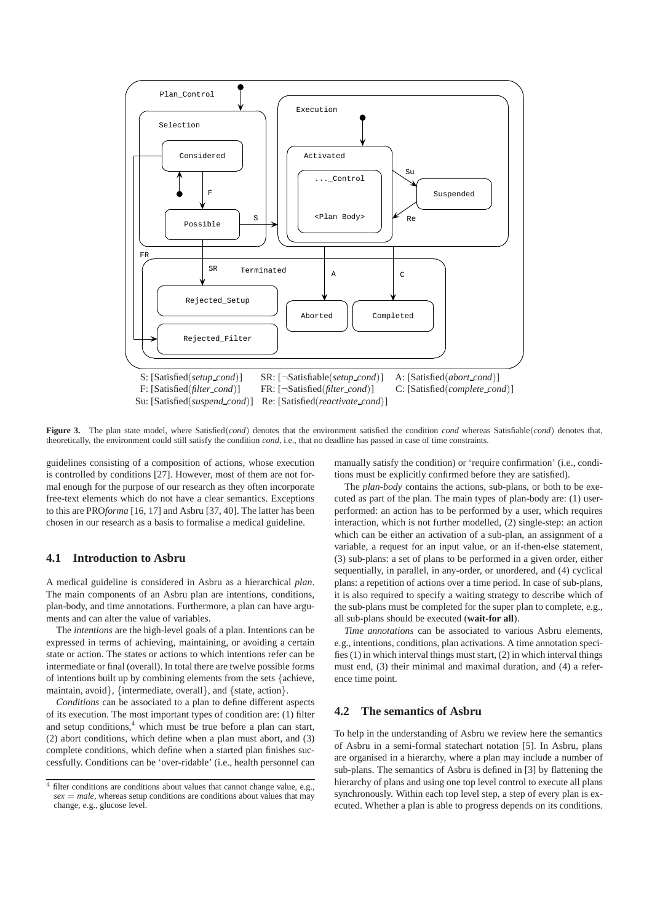

Figure 3. The plan state model, where Satisfied(*cond*) denotes that the environment satisfied the condition *cond* whereas Satisfiable(*cond*) denotes that, theoretically, the environment could still satisfy the condition *cond*, i.e., that no deadline has passed in case of time constraints.

guidelines consisting of a composition of actions, whose execution is controlled by conditions [27]. However, most of them are not formal enough for the purpose of our research as they often incorporate free-text elements which do not have a clear semantics. Exceptions to this are PRO*forma* [16, 17] and Asbru [37, 40]. The latter has been chosen in our research as a basis to formalise a medical guideline.

## **4.1 Introduction to Asbru**

A medical guideline is considered in Asbru as a hierarchical *plan*. The main components of an Asbru plan are intentions, conditions, plan-body, and time annotations. Furthermore, a plan can have arguments and can alter the value of variables.

The *intentions* are the high-level goals of a plan. Intentions can be expressed in terms of achieving, maintaining, or avoiding a certain state or action. The states or actions to which intentions refer can be intermediate or final (overall). In total there are twelve possible forms of intentions built up by combining elements from the sets {achieve, maintain, avoid}, {intermediate, overall}, and {state, action}.

*Conditions* can be associated to a plan to define different aspects of its execution. The most important types of condition are: (1) filter and setup conditions, $4$  which must be true before a plan can start, (2) abort conditions, which define when a plan must abort, and (3) complete conditions, which define when a started plan finishes successfully. Conditions can be 'over-ridable' (i.e., health personnel can manually satisfy the condition) or 'require confirmation' (i.e., conditions must be explicitly confirmed before they are satisfied).

The *plan-body* contains the actions, sub-plans, or both to be executed as part of the plan. The main types of plan-body are: (1) userperformed: an action has to be performed by a user, which requires interaction, which is not further modelled, (2) single-step: an action which can be either an activation of a sub-plan, an assignment of a variable, a request for an input value, or an if-then-else statement, (3) sub-plans: a set of plans to be performed in a given order, either sequentially, in parallel, in any-order, or unordered, and (4) cyclical plans: a repetition of actions over a time period. In case of sub-plans, it is also required to specify a waiting strategy to describe which of the sub-plans must be completed for the super plan to complete, e.g., all sub-plans should be executed (**wait-for all**).

*Time annotations* can be associated to various Asbru elements, e.g., intentions, conditions, plan activations. A time annotation specifies (1) in which interval things must start, (2) in which interval things must end, (3) their minimal and maximal duration, and (4) a reference time point.

#### **4.2 The semantics of Asbru**

To help in the understanding of Asbru we review here the semantics of Asbru in a semi-formal statechart notation [5]. In Asbru, plans are organised in a hierarchy, where a plan may include a number of sub-plans. The semantics of Asbru is defined in [3] by flattening the hierarchy of plans and using one top level control to execute all plans synchronously. Within each top level step, a step of every plan is executed. Whether a plan is able to progress depends on its conditions.

<sup>&</sup>lt;sup>4</sup> filter conditions are conditions about values that cannot change value, e.g.,  $sex = male$ , whereas setup conditions are conditions about values that may change, e.g., glucose level.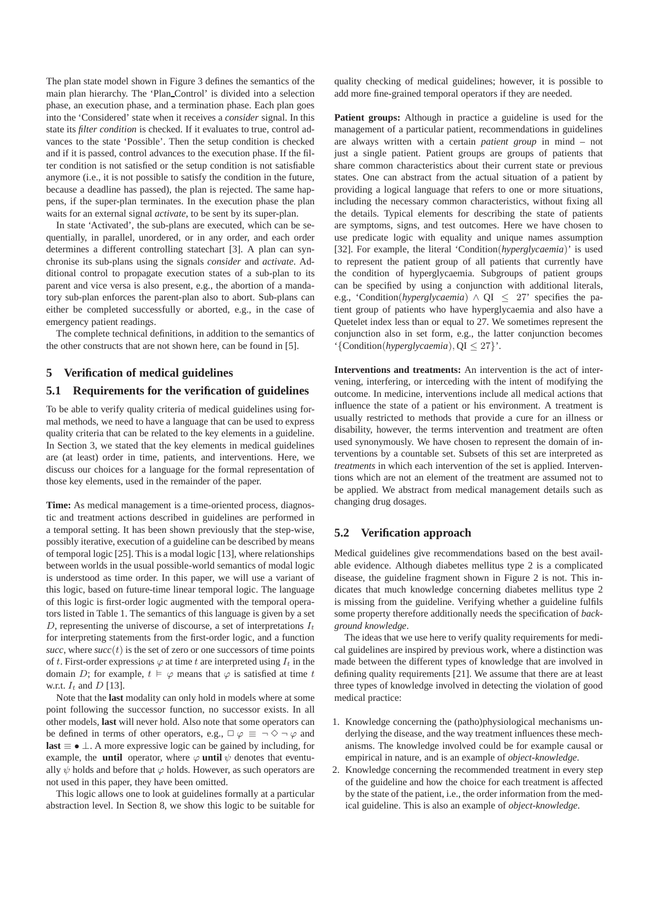The plan state model shown in Figure 3 defines the semantics of the main plan hierarchy. The 'Plan Control' is divided into a selection phase, an execution phase, and a termination phase. Each plan goes into the 'Considered' state when it receives a *consider* signal. In this state its *filter condition* is checked. If it evaluates to true, control advances to the state 'Possible'. Then the setup condition is checked and if it is passed, control advances to the execution phase. If the filter condition is not satisfied or the setup condition is not satisfiable anymore (i.e., it is not possible to satisfy the condition in the future, because a deadline has passed), the plan is rejected. The same happens, if the super-plan terminates. In the execution phase the plan waits for an external signal *activate*, to be sent by its super-plan.

In state 'Activated', the sub-plans are executed, which can be sequentially, in parallel, unordered, or in any order, and each order determines a different controlling statechart [3]. A plan can synchronise its sub-plans using the signals *consider* and *activate*. Additional control to propagate execution states of a sub-plan to its parent and vice versa is also present, e.g., the abortion of a mandatory sub-plan enforces the parent-plan also to abort. Sub-plans can either be completed successfully or aborted, e.g., in the case of emergency patient readings.

The complete technical definitions, in addition to the semantics of the other constructs that are not shown here, can be found in [5].

#### **5 Verification of medical guidelines**

## **5.1 Requirements for the verification of guidelines**

To be able to verify quality criteria of medical guidelines using formal methods, we need to have a language that can be used to express quality criteria that can be related to the key elements in a guideline. In Section 3, we stated that the key elements in medical guidelines are (at least) order in time, patients, and interventions. Here, we discuss our choices for a language for the formal representation of those key elements, used in the remainder of the paper.

**Time:** As medical management is a time-oriented process, diagnostic and treatment actions described in guidelines are performed in a temporal setting. It has been shown previously that the step-wise, possibly iterative, execution of a guideline can be described by means of temporal logic [25]. This is a modal logic [13], where relationships between worlds in the usual possible-world semantics of modal logic is understood as time order. In this paper, we will use a variant of this logic, based on future-time linear temporal logic. The language of this logic is first-order logic augmented with the temporal operators listed in Table 1. The semantics of this language is given by a set D, representing the universe of discourse, a set of interpretations  $I_t$ for interpreting statements from the first-order logic, and a function *succ*, where  $succ(t)$  is the set of zero or one successors of time points of t. First-order expressions  $\varphi$  at time t are interpreted using  $I_t$  in the domain D; for example,  $t \vDash \varphi$  means that  $\varphi$  is satisfied at time t w.r.t.  $I_t$  and  $D$  [13].

Note that the **last** modality can only hold in models where at some point following the successor function, no successor exists. In all other models, **last** will never hold. Also note that some operators can be defined in terms of other operators, e.g.,  $\Box \varphi \equiv \neg \Diamond \neg \varphi$  and **last**  $\equiv \bullet \perp$ . A more expressive logic can be gained by including, for example, the **until** operator, where  $\varphi$  **until**  $\psi$  denotes that eventually  $\psi$  holds and before that  $\varphi$  holds. However, as such operators are not used in this paper, they have been omitted.

This logic allows one to look at guidelines formally at a particular abstraction level. In Section 8, we show this logic to be suitable for quality checking of medical guidelines; however, it is possible to add more fine-grained temporal operators if they are needed.

**Patient groups:** Although in practice a guideline is used for the management of a particular patient, recommendations in guidelines are always written with a certain *patient group* in mind – not just a single patient. Patient groups are groups of patients that share common characteristics about their current state or previous states. One can abstract from the actual situation of a patient by providing a logical language that refers to one or more situations, including the necessary common characteristics, without fixing all the details. Typical elements for describing the state of patients are symptoms, signs, and test outcomes. Here we have chosen to use predicate logic with equality and unique names assumption [32]. For example, the literal 'Condition(*hyperglycaemia*)' is used to represent the patient group of all patients that currently have the condition of hyperglycaemia. Subgroups of patient groups can be specified by using a conjunction with additional literals, e.g., 'Condition(*hyperglycaemia*)  $\land$  QI  $\leq$  27' specifies the patient group of patients who have hyperglycaemia and also have a Quetelet index less than or equal to 27. We sometimes represent the conjunction also in set form, e.g., the latter conjunction becomes  $'\{\text{Condition}(hyperglycaemia), QI \leq 27\}$ .

**Interventions and treatments:** An intervention is the act of intervening, interfering, or interceding with the intent of modifying the outcome. In medicine, interventions include all medical actions that influence the state of a patient or his environment. A treatment is usually restricted to methods that provide a cure for an illness or disability, however, the terms intervention and treatment are often used synonymously. We have chosen to represent the domain of interventions by a countable set. Subsets of this set are interpreted as *treatments* in which each intervention of the set is applied. Interventions which are not an element of the treatment are assumed not to be applied. We abstract from medical management details such as changing drug dosages.

#### **5.2 Verification approach**

Medical guidelines give recommendations based on the best available evidence. Although diabetes mellitus type 2 is a complicated disease, the guideline fragment shown in Figure 2 is not. This indicates that much knowledge concerning diabetes mellitus type 2 is missing from the guideline. Verifying whether a guideline fulfils some property therefore additionally needs the specification of *background knowledge*.

The ideas that we use here to verify quality requirements for medical guidelines are inspired by previous work, where a distinction was made between the different types of knowledge that are involved in defining quality requirements [21]. We assume that there are at least three types of knowledge involved in detecting the violation of good medical practice:

- 1. Knowledge concerning the (patho)physiological mechanisms underlying the disease, and the way treatment influences these mechanisms. The knowledge involved could be for example causal or empirical in nature, and is an example of *object-knowledge*.
- 2. Knowledge concerning the recommended treatment in every step of the guideline and how the choice for each treatment is affected by the state of the patient, i.e., the order information from the medical guideline. This is also an example of *object-knowledge*.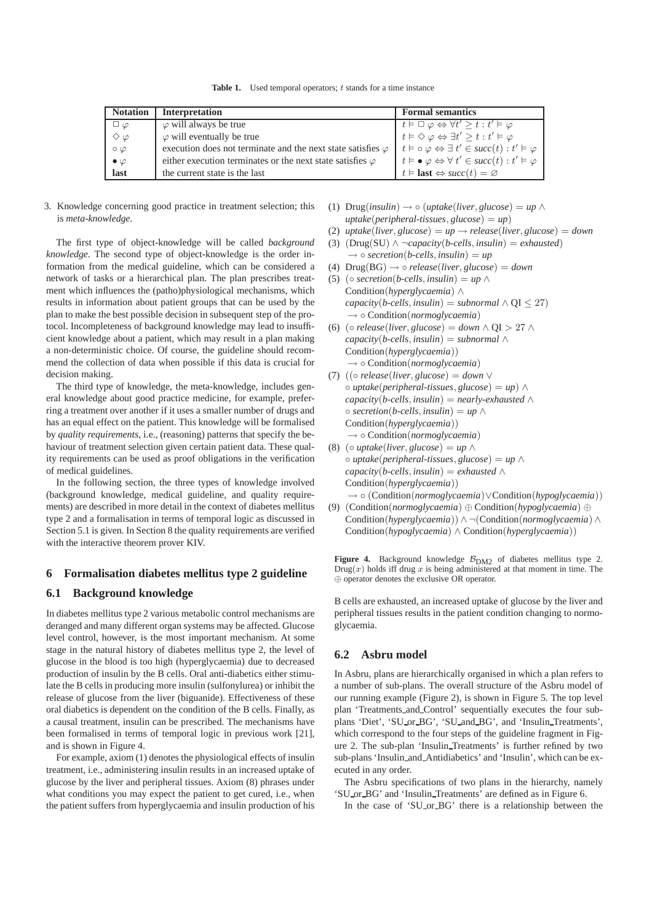**Table 1.** Used temporal operators; t stands for a time instance

| <b>Notation</b>     | Interpretation                                                      | <b>Formal semantics</b>                                                                   |
|---------------------|---------------------------------------------------------------------|-------------------------------------------------------------------------------------------|
| $\square$ $\varphi$ | $\varphi$ will always be true                                       | $\vert t \vDash \Box \varphi \Leftrightarrow \forall t' \geq t : t' \vDash \varphi$       |
| $\Diamond \varphi$  | $\varphi$ will eventually be true                                   | $t \vDash \Diamond \varphi \Leftrightarrow \exists t' \geq t : t' \vDash \varphi$         |
| $\circ \varphi$     | execution does not terminate and the next state satisfies $\varphi$ | $t \vDash \circ \varphi \Leftrightarrow \exists t' \in succ(t): t' \vDash \varphi$        |
| $\bullet \varphi$   | either execution terminates or the next state satisfies $\varphi$   | $\mid t \vDash \bullet \varphi \Leftrightarrow \forall t' \in succ(t): t' \vDash \varphi$ |
| last                | the current state is the last                                       | $t \vDash$ <b>last</b> $\Leftrightarrow succ(t) = \emptyset$                              |

3. Knowledge concerning good practice in treatment selection; this is *meta-knowledge*.

The first type of object-knowledge will be called *background knowledge*. The second type of object-knowledge is the order information from the medical guideline, which can be considered a network of tasks or a hierarchical plan. The plan prescribes treatment which influences the (patho)physiological mechanisms, which results in information about patient groups that can be used by the plan to make the best possible decision in subsequent step of the protocol. Incompleteness of background knowledge may lead to insufficient knowledge about a patient, which may result in a plan making a non-deterministic choice. Of course, the guideline should recommend the collection of data when possible if this data is crucial for decision making.

The third type of knowledge, the meta-knowledge, includes general knowledge about good practice medicine, for example, preferring a treatment over another if it uses a smaller number of drugs and has an equal effect on the patient. This knowledge will be formalised by *quality requirements*, i.e., (reasoning) patterns that specify the behaviour of treatment selection given certain patient data. These quality requirements can be used as proof obligations in the verification of medical guidelines.

In the following section, the three types of knowledge involved (background knowledge, medical guideline, and quality requirements) are described in more detail in the context of diabetes mellitus type 2 and a formalisation in terms of temporal logic as discussed in Section 5.1 is given. In Section 8 the quality requirements are verified with the interactive theorem prover KIV.

#### **6 Formalisation diabetes mellitus type 2 guideline**

#### **6.1 Background knowledge**

In diabetes mellitus type 2 various metabolic control mechanisms are deranged and many different organ systems may be affected. Glucose level control, however, is the most important mechanism. At some stage in the natural history of diabetes mellitus type 2, the level of glucose in the blood is too high (hyperglycaemia) due to decreased production of insulin by the B cells. Oral anti-diabetics either stimulate the B cells in producing more insulin (sulfonylurea) or inhibit the release of glucose from the liver (biguanide). Effectiveness of these oral diabetics is dependent on the condition of the B cells. Finally, as a causal treatment, insulin can be prescribed. The mechanisms have been formalised in terms of temporal logic in previous work [21], and is shown in Figure 4.

For example, axiom (1) denotes the physiological effects of insulin treatment, i.e., administering insulin results in an increased uptake of glucose by the liver and peripheral tissues. Axiom (8) phrases under what conditions you may expect the patient to get cured, i.e., when the patient suffers from hyperglycaemia and insulin production of his

- (1) Drug(*insulin*)  $\rightarrow \circ$  (*uptake*(*liver*, *glucose*) = *up*  $\land$  $uptake(peripheral-tissues, glucose) = up)$
- (2)  $uptake(liver, glucose) = up \rightarrow release(liver, glucose) = down$
- (3)  $(Drug(SU) \wedge \neg capacity(b\text{-}cells, insulin) = exhausted)$
- $\rightarrow \circ \text{section}(b\text{-cells}, \text{insulin}) = up$ (4)  $\text{Drug}(\text{BG}) \rightarrow \circ \text{ release}(\text{liver}, \text{glucose}) = \text{down}$
- (5) ( $\circ$  *secretion*(*b-cells*, *insulin*) = *up*  $\land$ Condition(*hyperglycaemia*) ∧  $capacity(b\text{-}cells, insulin) = subnormal \wedge QI \leq 27)$ → ◦ Condition(*normoglycaemia*)
- (6) ( $\circ$  *release*(*liver*, *glucose*) = *down*  $\land$  QI > 27  $\land$  $capacity(b\text{-}cells, insulin) = subnormal \wedge$ Condition(*hyperglycaemia*)) → ◦ Condition(*normoglycaemia*)
- (7) ((◦ *release*(*liver*, *glucose*) = *down* ∨ ◦ *uptake*(*peripheral-tissues*, *glucose*) = *up*) ∧  $capacity(b\text{-}cells, insulin) = nearly\text{-}exhausted \wedge$ ◦ *secretion*(*b-cells*, *insulin*) = *up* ∧ Condition(*hyperglycaemia*)) → ◦ Condition(*normoglycaemia*)
- (8) ( $\circ$  *uptake*(*liver*, *glucose*) = *up*  $\land$ ◦ *uptake*(*peripheral-tissues*, *glucose*) = *up* ∧  $capacity(b\text{-}cells, insulin) = exhausted \wedge$ Condition(*hyperglycaemia*))
	- → (Condition(*normoglycaemia*)∨Condition(*hypoglycaemia*))
- (9) (Condition(*normoglycaemia*) ⊕ Condition(*hypoglycaemia*) ⊕ Condition(*hyperglycaemia*)) ∧ ¬(Condition(*normoglycaemia*) ∧ Condition(*hypoglycaemia*) ∧ Condition(*hyperglycaemia*))

**Figure 4.** Background knowledge  $B_{DM2}$  of diabetes mellitus type 2.  $Drug(x)$  holds iff drug x is being administered at that moment in time. The ⊕ operator denotes the exclusive OR operator.

B cells are exhausted, an increased uptake of glucose by the liver and peripheral tissues results in the patient condition changing to normoglycaemia.

#### **6.2 Asbru model**

In Asbru, plans are hierarchically organised in which a plan refers to a number of sub-plans. The overall structure of the Asbru model of our running example (Figure 2), is shown in Figure 5. The top level plan 'Treatments and Control' sequentially executes the four subplans 'Diet', 'SU or BG', 'SU and BG', and 'Insulin Treatments', which correspond to the four steps of the guideline fragment in Figure 2. The sub-plan 'Insulin Treatments' is further refined by two sub-plans 'Insulin and Antidiabetics' and 'Insulin', which can be executed in any order.

The Asbru specifications of two plans in the hierarchy, namely 'SU or BG' and 'Insulin Treatments' are defined as in Figure 6.

In the case of 'SU or BG' there is a relationship between the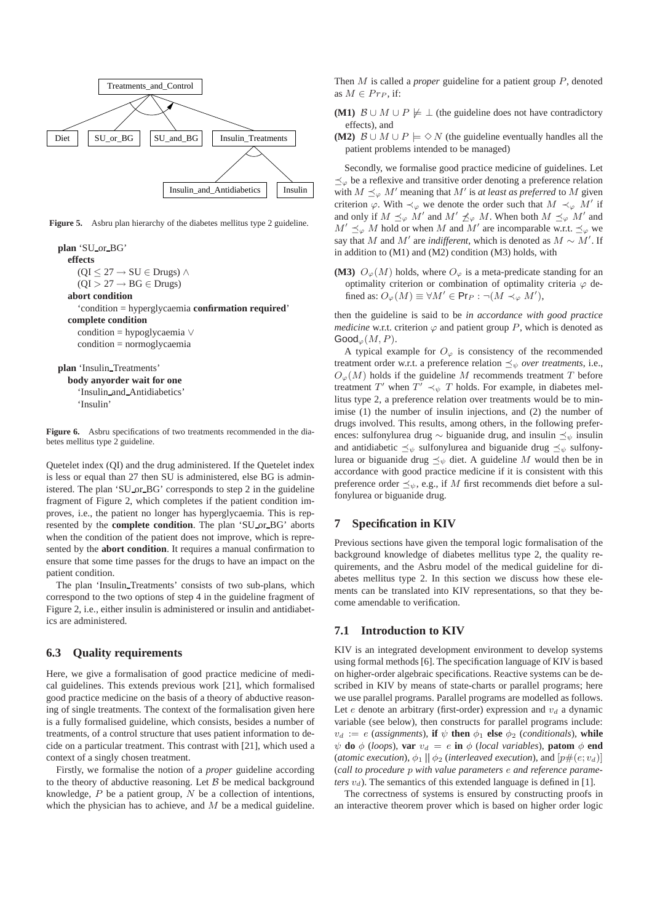

Figure 5. Asbru plan hierarchy of the diabetes mellitus type 2 guideline.

```
plan 'SU or BG'
  effects
     (QI \leq 27 \rightarrow SU \in Drugs) ∧
     (QI > 27 \rightarrow BG \in Drugs)abort condition
     'condition = hyperglycaemia confirmation required'
  complete condition
     condition = hypoglycaemia ∨
     condition = normoglycaemia
plan 'Insulin Treatments'
```
**body anyorder wait for one** 'Insulin and Antidiabetics' 'Insulin'

**Figure 6.** Asbru specifications of two treatments recommended in the diabetes mellitus type 2 guideline.

Quetelet index (QI) and the drug administered. If the Quetelet index is less or equal than 27 then SU is administered, else BG is administered. The plan 'SU<sub>r</sub>or<sub>BG</sub>' corresponds to step 2 in the guideline fragment of Figure 2, which completes if the patient condition improves, i.e., the patient no longer has hyperglycaemia. This is represented by the **complete condition**. The plan 'SU<sub>-Or-BG</sub>' aborts when the condition of the patient does not improve, which is represented by the **abort condition**. It requires a manual confirmation to ensure that some time passes for the drugs to have an impact on the patient condition.

The plan 'Insulin Treatments' consists of two sub-plans, which correspond to the two options of step 4 in the guideline fragment of Figure 2, i.e., either insulin is administered or insulin and antidiabetics are administered.

## **6.3 Quality requirements**

Here, we give a formalisation of good practice medicine of medical guidelines. This extends previous work [21], which formalised good practice medicine on the basis of a theory of abductive reasoning of single treatments. The context of the formalisation given here is a fully formalised guideline, which consists, besides a number of treatments, of a control structure that uses patient information to decide on a particular treatment. This contrast with [21], which used a context of a singly chosen treatment.

Firstly, we formalise the notion of a *proper* guideline according to the theory of abductive reasoning. Let  $\beta$  be medical background knowledge,  $P$  be a patient group,  $N$  be a collection of intentions, which the physician has to achieve, and  $M$  be a medical guideline. Then M is called a *proper* guideline for a patient group P, denoted as  $M \in Pr_P$ , if:

**(M1)**  $\mathcal{B} \cup M \cup P \not\models \bot$  (the guideline does not have contradictory effects), and

**(M2)**  $B \cup M \cup P \models \Diamond N$  (the guideline eventually handles all the patient problems intended to be managed)

Secondly, we formalise good practice medicine of guidelines. Let  $\preceq_{\varphi}$  be a reflexive and transitive order denoting a preference relation with  $M \preceq_{\varphi} M'$  meaning that  $M'$  is *at least as preferred* to M given criterion  $\varphi$ . With  $\prec_{\varphi}$  we denote the order such that  $M \prec_{\varphi} M'$  if and only if  $M \preceq_{\varphi} M'$  and  $M' \not\preceq_{\varphi} M$ . When both  $M \preceq_{\varphi} M'$  and  $M' \preceq_{\varphi} M$  hold or when M and M' are incomparable w.r.t.  $\preceq_{\varphi}$  we say that M and M' are *indifferent*, which is denoted as  $M \sim M'$ . If in addition to (M1) and (M2) condition (M3) holds, with

**(M3)**  $O_{\varphi}(M)$  holds, where  $O_{\varphi}$  is a meta-predicate standing for an optimality criterion or combination of optimality criteria  $\varphi$  defined as:  $O_{\varphi}(M) \equiv \forall M' \in \text{Pr}_P : \neg(M \prec_{\varphi} M'),$ 

then the guideline is said to be *in accordance with good practice medicine* w.r.t. criterion  $\varphi$  and patient group P, which is denoted as  $\text{Good}_{\varphi}(M, P)$ .

A typical example for  $O_{\varphi}$  is consistency of the recommended treatment order w.r.t. a preference relation  $\preceq_{\psi}$  over treatments, i.e.,  $O_{\varphi}(M)$  holds if the guideline M recommends treatment T before treatment T' when  $T' \prec_{\psi} T$  holds. For example, in diabetes mellitus type 2, a preference relation over treatments would be to minimise (1) the number of insulin injections, and (2) the number of drugs involved. This results, among others, in the following preferences: sulfonylurea drug ∼ biguanide drug, and insulin  $\preceq_{\psi}$  insulin and antidiabetic  $\preceq_{\psi}$  sulfonylurea and biguanide drug  $\preceq_{\psi}$  sulfonylurea or biguanide drug  $\preceq_{\psi}$  diet. A guideline M would then be in accordance with good practice medicine if it is consistent with this preference order  $\prec_{\psi}$ , e.g., if M first recommends diet before a sulfonylurea or biguanide drug.

#### **7 Specification in KIV**

Previous sections have given the temporal logic formalisation of the background knowledge of diabetes mellitus type 2, the quality requirements, and the Asbru model of the medical guideline for diabetes mellitus type 2. In this section we discuss how these elements can be translated into KIV representations, so that they become amendable to verification.

#### **7.1 Introduction to KIV**

KIV is an integrated development environment to develop systems using formal methods [6]. The specification language of KIV is based on higher-order algebraic specifications. Reactive systems can be described in KIV by means of state-charts or parallel programs; here we use parallel programs. Parallel programs are modelled as follows. Let  $e$  denote an arbitrary (first-order) expression and  $v_d$  a dynamic variable (see below), then constructs for parallel programs include:  $v_d := e$  (*assignments*), **if**  $\psi$  **then**  $\phi_1$  **else**  $\phi_2$  (*conditionals*), **while**  $\psi$  **do**  $\phi$  (*loops*), **var**  $v_d = e$  **in**  $\phi$  (*local variables*), **patom**  $\phi$  **end** (*atomic execution*),  $\phi_1 \parallel \phi_2$  (*interleaved execution*), and  $[p \# (e; v_d)]$ (*call to procedure* p *with value parameters* e *and reference parameters*  $v_d$ ). The semantics of this extended language is defined in [1].

The correctness of systems is ensured by constructing proofs in an interactive theorem prover which is based on higher order logic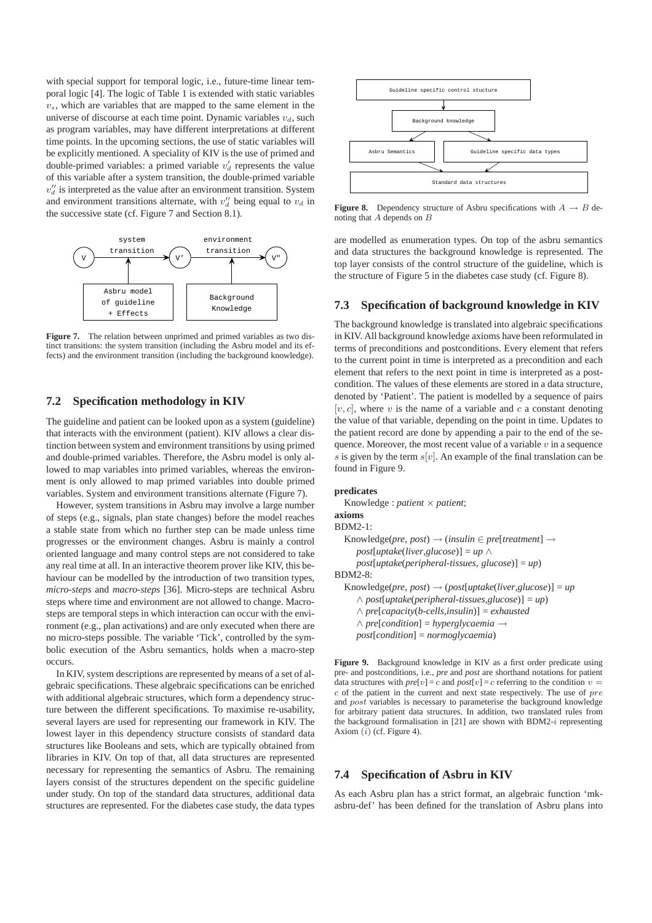with special support for temporal logic, i.e., future-time linear temporal logic [4]. The logic of Table 1 is extended with static variables  $v<sub>s</sub>$ , which are variables that are mapped to the same element in the universe of discourse at each time point. Dynamic variables  $v_d$ , such as program variables, may have different interpretations at different time points. In the upcoming sections, the use of static variables will be explicitly mentioned. A speciality of KIV is the use of primed and double-primed variables: a primed variable  $v'_d$  represents the value of this variable after a system transition, the double-primed variable  $v''_d$  is interpreted as the value after an environment transition. System and environment transitions alternate, with  $v''_d$  being equal to  $v_d$  in the successive state (cf. Figure 7 and Section 8.1).



Figure 7. The relation between unprimed and primed variables as two distinct transitions: the system transition (including the Asbru model and its effects) and the environment transition (including the background knowledge).

#### **7.2 Specification methodology in KIV**

The guideline and patient can be looked upon as a system (guideline) that interacts with the environment (patient). KIV allows a clear distinction between system and environment transitions by using primed and double-primed variables. Therefore, the Asbru model is only allowed to map variables into primed variables, whereas the environment is only allowed to map primed variables into double primed variables. System and environment transitions alternate (Figure 7).

However, system transitions in Asbru may involve a large number of steps (e.g., signals, plan state changes) before the model reaches a stable state from which no further step can be made unless time progresses or the environment changes. Asbru is mainly a control oriented language and many control steps are not considered to take any real time at all. In an interactive theorem prover like KIV, this behaviour can be modelled by the introduction of two transition types, *micro-steps* and *macro-steps* [36]. Micro-steps are technical Asbru steps where time and environment are not allowed to change. Macrosteps are temporal steps in which interaction can occur with the environment (e.g., plan activations) and are only executed when there are no micro-steps possible. The variable 'Tick', controlled by the symbolic execution of the Asbru semantics, holds when a macro-step occurs.

In KIV, system descriptions are represented by means of a set of algebraic specifications. These algebraic specifications can be enriched with additional algebraic structures, which form a dependency structure between the different specifications. To maximise re-usability, several layers are used for representing our framework in KIV. The lowest layer in this dependency structure consists of standard data structures like Booleans and sets, which are typically obtained from libraries in KIV. On top of that, all data structures are represented necessary for representing the semantics of Asbru. The remaining layers consist of the structures dependent on the specific guideline under study. On top of the standard data structures, additional data structures are represented. For the diabetes case study, the data types



**Figure 8.** Dependency structure of Asbru specifications with  $A \rightarrow B$  denoting that  $A$  depends on  $B$ 

are modelled as enumeration types. On top of the asbru semantics and data structures the background knowledge is represented. The top layer consists of the control structure of the guideline, which is the structure of Figure 5 in the diabetes case study (cf. Figure 8).

#### **7.3 Specification of background knowledge in KIV**

The background knowledge is translated into algebraic specifications in KIV. All background knowledge axioms have been reformulated in terms of preconditions and postconditions. Every element that refers to the current point in time is interpreted as a precondition and each element that refers to the next point in time is interpreted as a postcondition. The values of these elements are stored in a data structure, denoted by 'Patient'. The patient is modelled by a sequence of pairs [v, c], where v is the name of a variable and c a constant denoting the value of that variable, depending on the point in time. Updates to the patient record are done by appending a pair to the end of the sequence. Moreover, the most recent value of a variable  $v$  in a sequence s is given by the term  $s[v]$ . An example of the final translation can be found in Figure 9.

#### **predicates**

```
Knowledge : patient × patient;
axioms
BDM2-1:
  Knowledge(pre, post) \rightarrow (insulin \in pre[treatment] \rightarrowpost[update(liver, glucose)] = up \wedgepost[uptake(peripheral-tissues, glucose)] = up)
BDM2-8:
  Knowledge(pre, post) \rightarrow (post[uptake(liver,glucose)] = up
     ∧ post[uptake(peripheral-tissues,glucose)] = up)
     ∧ pre[capacity(b-cells,insulin)] = exhausted
     ∧ pre[condition] = hyperglycaemia →
     post[condition] = normoglycaemia)
```
**Figure 9.** Background knowledge in KIV as a first order predicate using pre- and postconditions, i.e., *pre* and *post* are shorthand notations for patient data structures with  $pre[v] = c$  and  $post[v] = c$  referring to the condition  $v =$  $c$  of the patient in the current and next state respectively. The use of  $pre$ and post variables is necessary to parameterise the background knowledge for arbitrary patient data structures. In addition, two translated rules from the background formalisation in  $[21]$  are shown with BDM2-i representing Axiom  $(i)$  (cf. Figure 4).

#### **7.4 Specification of Asbru in KIV**

As each Asbru plan has a strict format, an algebraic function 'mkasbru-def' has been defined for the translation of Asbru plans into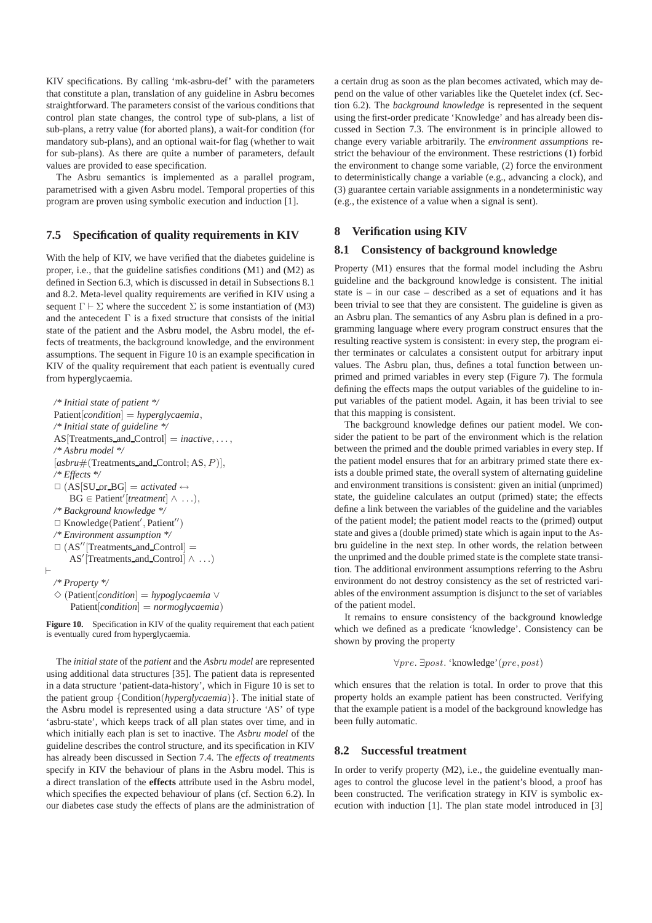KIV specifications. By calling 'mk-asbru-def' with the parameters that constitute a plan, translation of any guideline in Asbru becomes straightforward. The parameters consist of the various conditions that control plan state changes, the control type of sub-plans, a list of sub-plans, a retry value (for aborted plans), a wait-for condition (for mandatory sub-plans), and an optional wait-for flag (whether to wait for sub-plans). As there are quite a number of parameters, default values are provided to ease specification.

The Asbru semantics is implemented as a parallel program, parametrised with a given Asbru model. Temporal properties of this program are proven using symbolic execution and induction [1].

#### **7.5 Specification of quality requirements in KIV**

With the help of KIV, we have verified that the diabetes guideline is proper, i.e., that the guideline satisfies conditions (M1) and (M2) as defined in Section 6.3, which is discussed in detail in Subsections 8.1 and 8.2. Meta-level quality requirements are verified in KIV using a sequent  $\Gamma \vdash \Sigma$  where the succedent  $\Sigma$  is some instantiation of (M3) and the antecedent  $\Gamma$  is a fixed structure that consists of the initial state of the patient and the Asbru model, the Asbru model, the effects of treatments, the background knowledge, and the environment assumptions. The sequent in Figure 10 is an example specification in KIV of the quality requirement that each patient is eventually cured from hyperglycaemia.

```
/* Initial state of patient */
 Patient[condition] = hyperglycaemia,
 /* Initial state of guideline */
 AS[Treatments and Control] = inactive, . . . ,
 /* Asbru model */
 [asbru#(Treatments_and_Control; AS, P)],
 /* Effects */
 \Box (AS[SU_or_BG] = activated \leftrightarrowBG \in Patient'[treatment] \wedge ...),/* Background knowledge */
  ✷ Knowledge(Patient′
, Patient′′)
 /* Environment assumption */
 \Box (AS''[Treatments_and_Control] =AS′
[Treatments and Control] ∧ . . .)
⊢
 /* Property */
 ✸ (Patient[condition] = hypoglycaemia ∨
      Patient[condition] = normoglycaemia)
```
**Figure 10.** Specification in KIV of the quality requirement that each patient is eventually cured from hyperglycaemia.

The *initial state* of the *patient* and the *Asbru model* are represented using additional data structures [35]. The patient data is represented in a data structure 'patient-data-history', which in Figure 10 is set to the patient group {Condition(*hyperglycaemia*)}. The initial state of the Asbru model is represented using a data structure 'AS' of type 'asbru-state', which keeps track of all plan states over time, and in which initially each plan is set to inactive. The *Asbru model* of the guideline describes the control structure, and its specification in KIV has already been discussed in Section 7.4. The *effects of treatments* specify in KIV the behaviour of plans in the Asbru model. This is a direct translation of the **effects** attribute used in the Asbru model, which specifies the expected behaviour of plans (cf. Section 6.2). In our diabetes case study the effects of plans are the administration of

a certain drug as soon as the plan becomes activated, which may depend on the value of other variables like the Quetelet index (cf. Section 6.2). The *background knowledge* is represented in the sequent using the first-order predicate 'Knowledge' and has already been discussed in Section 7.3. The environment is in principle allowed to change every variable arbitrarily. The *environment assumptions* restrict the behaviour of the environment. These restrictions (1) forbid the environment to change some variable, (2) force the environment to deterministically change a variable (e.g., advancing a clock), and (3) guarantee certain variable assignments in a nondeterministic way (e.g., the existence of a value when a signal is sent).

#### **8 Verification using KIV**

#### **8.1 Consistency of background knowledge**

Property (M1) ensures that the formal model including the Asbru guideline and the background knowledge is consistent. The initial state is – in our case – described as a set of equations and it has been trivial to see that they are consistent. The guideline is given as an Asbru plan. The semantics of any Asbru plan is defined in a programming language where every program construct ensures that the resulting reactive system is consistent: in every step, the program either terminates or calculates a consistent output for arbitrary input values. The Asbru plan, thus, defines a total function between unprimed and primed variables in every step (Figure 7). The formula defining the effects maps the output variables of the guideline to input variables of the patient model. Again, it has been trivial to see that this mapping is consistent.

The background knowledge defines our patient model. We consider the patient to be part of the environment which is the relation between the primed and the double primed variables in every step. If the patient model ensures that for an arbitrary primed state there exists a double primed state, the overall system of alternating guideline and environment transitions is consistent: given an initial (unprimed) state, the guideline calculates an output (primed) state; the effects define a link between the variables of the guideline and the variables of the patient model; the patient model reacts to the (primed) output state and gives a (double primed) state which is again input to the Asbru guideline in the next step. In other words, the relation between the unprimed and the double primed state is the complete state transition. The additional environment assumptions referring to the Asbru environment do not destroy consistency as the set of restricted variables of the environment assumption is disjunct to the set of variables of the patient model.

It remains to ensure consistency of the background knowledge which we defined as a predicate 'knowledge'. Consistency can be shown by proving the property

$$
\forall pre. \exists post. \text{ 'knowledge'} (pre, post)
$$

which ensures that the relation is total. In order to prove that this property holds an example patient has been constructed. Verifying that the example patient is a model of the background knowledge has been fully automatic.

#### **8.2 Successful treatment**

In order to verify property (M2), i.e., the guideline eventually manages to control the glucose level in the patient's blood, a proof has been constructed. The verification strategy in KIV is symbolic execution with induction [1]. The plan state model introduced in [3]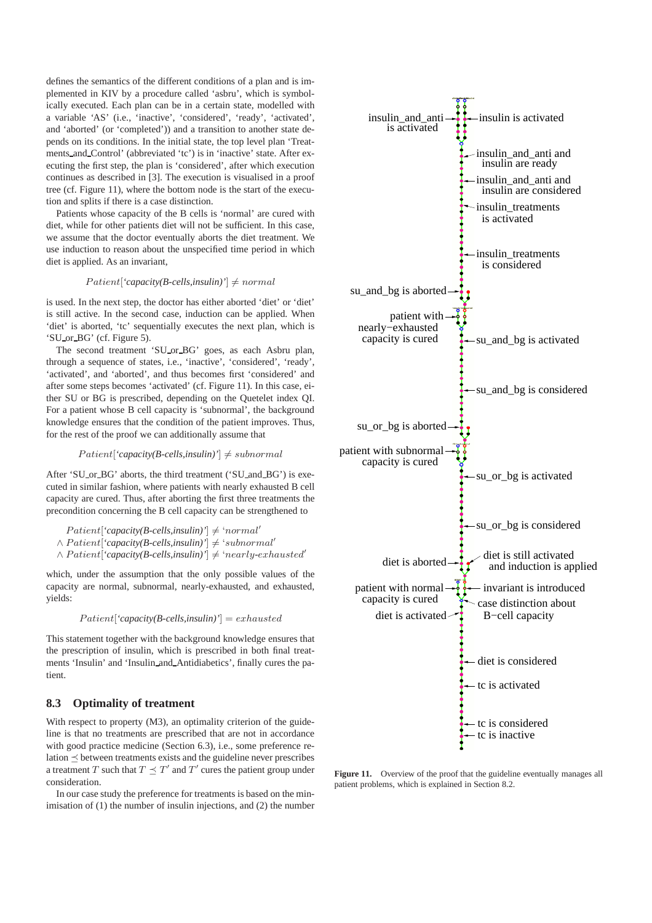defines the semantics of the different conditions of a plan and is implemented in KIV by a procedure called 'asbru', which is symbolically executed. Each plan can be in a certain state, modelled with a variable 'AS' (i.e., 'inactive', 'considered', 'ready', 'activated', and 'aborted' (or 'completed')) and a transition to another state depends on its conditions. In the initial state, the top level plan 'Treatments and Control' (abbreviated 'tc') is in 'inactive' state. After executing the first step, the plan is 'considered', after which execution continues as described in [3]. The execution is visualised in a proof tree (cf. Figure 11), where the bottom node is the start of the execution and splits if there is a case distinction.

Patients whose capacity of the B cells is 'normal' are cured with diet, while for other patients diet will not be sufficient. In this case, we assume that the doctor eventually aborts the diet treatment. We use induction to reason about the unspecified time period in which diet is applied. As an invariant,

#### $Pational'capacity(B-cells, insulin)' \neq normal$

is used. In the next step, the doctor has either aborted 'diet' or 'diet' is still active. In the second case, induction can be applied. When 'diet' is aborted, 'tc' sequentially executes the next plan, which is 'SU or BG' (cf. Figure 5).

The second treatment 'SU or BG' goes, as each Asbru plan, through a sequence of states, i.e., 'inactive', 'considered', 'ready', 'activated', and 'aborted', and thus becomes first 'considered' and after some steps becomes 'activated' (cf. Figure 11). In this case, either SU or BG is prescribed, depending on the Quetelet index QI. For a patient whose B cell capacity is 'subnormal', the background knowledge ensures that the condition of the patient improves. Thus, for the rest of the proof we can additionally assume that

#### $Pational'capacity(B-cells, insulin)'$   $\neq subnormal$

After 'SU or BG' aborts, the third treatment ('SU and BG') is executed in similar fashion, where patients with nearly exhausted B cell capacity are cured. Thus, after aborting the first three treatments the precondition concerning the B cell capacity can be strengthened to

```
Pational'<sup>'</sup>capacity(B-cells,insulin)'\neq'normal'
\land Patient<sup>['capacity(B-cells,insulin)'] \neq 'subnormal'</sup>
\land Patient<sup>[</sup>'capacity(B-cells,insulin)'] \neq 'nearly-exhausted'
```
which, under the assumption that the only possible values of the capacity are normal, subnormal, nearly-exhausted, and exhausted, yields:

#### $Pational'capacity(B-cells, insulin)'$  = exhausted

This statement together with the background knowledge ensures that the prescription of insulin, which is prescribed in both final treatments 'Insulin' and 'Insulin and Antidiabetics', finally cures the patient.

## **8.3 Optimality of treatment**

With respect to property (M3), an optimality criterion of the guideline is that no treatments are prescribed that are not in accordance with good practice medicine (Section 6.3), i.e., some preference relation  $\preceq$  between treatments exists and the guideline never prescribes a treatment T such that  $T \preceq T'$  and  $T'$  cures the patient group under consideration.

In our case study the preference for treatments is based on the minimisation of (1) the number of insulin injections, and (2) the number



Figure 11. Overview of the proof that the guideline eventually manages all patient problems, which is explained in Section 8.2.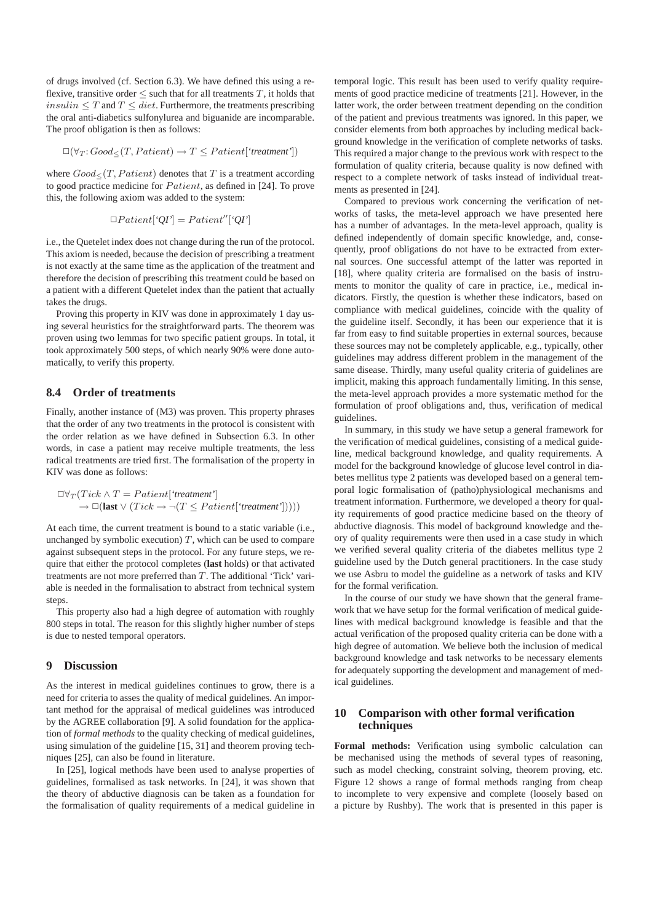of drugs involved (cf. Section 6.3). We have defined this using a reflexive, transitive order  $\leq$  such that for all treatments T, it holds that insulin  $\leq T$  and  $T \leq diet$ . Furthermore, the treatments prescribing the oral anti-diabetics sulfonylurea and biguanide are incomparable. The proof obligation is then as follows:

$$
\Box(\forall_T:Good_{\leq}(T, Patient) \rightarrow T \leq Patient['treatment'])
$$

where  $Good_{\leq}(T, Patient)$  denotes that T is a treatment according to good practice medicine for Patient, as defined in [24]. To prove this, the following axiom was added to the system:

$$
\Box \mathit{Patternt}['QI'] = \mathit{Patternt}''['QI']
$$

i.e., the Quetelet index does not change during the run of the protocol. This axiom is needed, because the decision of prescribing a treatment is not exactly at the same time as the application of the treatment and therefore the decision of prescribing this treatment could be based on a patient with a different Quetelet index than the patient that actually takes the drugs.

Proving this property in KIV was done in approximately 1 day using several heuristics for the straightforward parts. The theorem was proven using two lemmas for two specific patient groups. In total, it took approximately 500 steps, of which nearly 90% were done automatically, to verify this property.

## **8.4 Order of treatments**

Finally, another instance of (M3) was proven. This property phrases that the order of any two treatments in the protocol is consistent with the order relation as we have defined in Subsection 6.3. In other words, in case a patient may receive multiple treatments, the less radical treatments are tried first. The formalisation of the property in KIV was done as follows:

$$
\Box \forall_T (Tick \land T = Patient['treatment'] \n\to \Box(\text{last} \lor (Tick \to \neg (T \leq Patient['treatment')))))
$$

At each time, the current treatment is bound to a static variable (i.e., unchanged by symbolic execution)  $T$ , which can be used to compare against subsequent steps in the protocol. For any future steps, we require that either the protocol completes (**last** holds) or that activated treatments are not more preferred than T. The additional 'Tick' variable is needed in the formalisation to abstract from technical system steps.

This property also had a high degree of automation with roughly 800 steps in total. The reason for this slightly higher number of steps is due to nested temporal operators.

#### **9 Discussion**

As the interest in medical guidelines continues to grow, there is a need for criteria to asses the quality of medical guidelines. An important method for the appraisal of medical guidelines was introduced by the AGREE collaboration [9]. A solid foundation for the application of *formal methods* to the quality checking of medical guidelines, using simulation of the guideline [15, 31] and theorem proving techniques [25], can also be found in literature.

In [25], logical methods have been used to analyse properties of guidelines, formalised as task networks. In [24], it was shown that the theory of abductive diagnosis can be taken as a foundation for the formalisation of quality requirements of a medical guideline in temporal logic. This result has been used to verify quality requirements of good practice medicine of treatments [21]. However, in the latter work, the order between treatment depending on the condition of the patient and previous treatments was ignored. In this paper, we consider elements from both approaches by including medical background knowledge in the verification of complete networks of tasks. This required a major change to the previous work with respect to the formulation of quality criteria, because quality is now defined with respect to a complete network of tasks instead of individual treatments as presented in [24].

Compared to previous work concerning the verification of networks of tasks, the meta-level approach we have presented here has a number of advantages. In the meta-level approach, quality is defined independently of domain specific knowledge, and, consequently, proof obligations do not have to be extracted from external sources. One successful attempt of the latter was reported in [18], where quality criteria are formalised on the basis of instruments to monitor the quality of care in practice, i.e., medical indicators. Firstly, the question is whether these indicators, based on compliance with medical guidelines, coincide with the quality of the guideline itself. Secondly, it has been our experience that it is far from easy to find suitable properties in external sources, because these sources may not be completely applicable, e.g., typically, other guidelines may address different problem in the management of the same disease. Thirdly, many useful quality criteria of guidelines are implicit, making this approach fundamentally limiting. In this sense, the meta-level approach provides a more systematic method for the formulation of proof obligations and, thus, verification of medical guidelines.

In summary, in this study we have setup a general framework for the verification of medical guidelines, consisting of a medical guideline, medical background knowledge, and quality requirements. A model for the background knowledge of glucose level control in diabetes mellitus type 2 patients was developed based on a general temporal logic formalisation of (patho)physiological mechanisms and treatment information. Furthermore, we developed a theory for quality requirements of good practice medicine based on the theory of abductive diagnosis. This model of background knowledge and theory of quality requirements were then used in a case study in which we verified several quality criteria of the diabetes mellitus type 2 guideline used by the Dutch general practitioners. In the case study we use Asbru to model the guideline as a network of tasks and KIV for the formal verification.

In the course of our study we have shown that the general framework that we have setup for the formal verification of medical guidelines with medical background knowledge is feasible and that the actual verification of the proposed quality criteria can be done with a high degree of automation. We believe both the inclusion of medical background knowledge and task networks to be necessary elements for adequately supporting the development and management of medical guidelines.

#### **10 Comparison with other formal verification techniques**

**Formal methods:** Verification using symbolic calculation can be mechanised using the methods of several types of reasoning, such as model checking, constraint solving, theorem proving, etc. Figure 12 shows a range of formal methods ranging from cheap to incomplete to very expensive and complete (loosely based on a picture by Rushby). The work that is presented in this paper is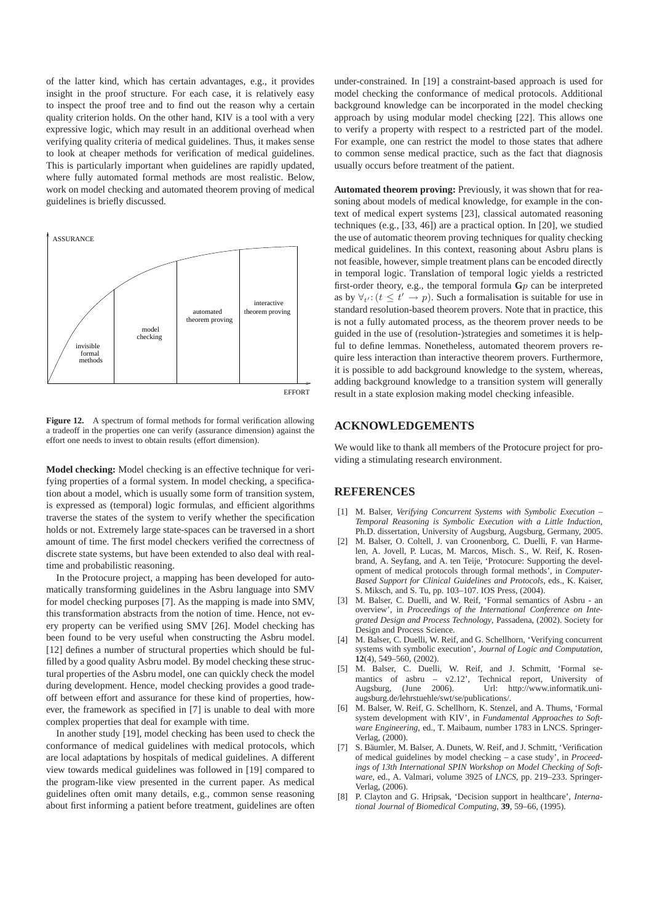of the latter kind, which has certain advantages, e.g., it provides insight in the proof structure. For each case, it is relatively easy to inspect the proof tree and to find out the reason why a certain quality criterion holds. On the other hand, KIV is a tool with a very expressive logic, which may result in an additional overhead when verifying quality criteria of medical guidelines. Thus, it makes sense to look at cheaper methods for verification of medical guidelines. This is particularly important when guidelines are rapidly updated, where fully automated formal methods are most realistic. Below, work on model checking and automated theorem proving of medical guidelines is briefly discussed.



Figure 12. A spectrum of formal methods for formal verification allowing a tradeoff in the properties one can verify (assurance dimension) against the effort one needs to invest to obtain results (effort dimension).

**Model checking:** Model checking is an effective technique for verifying properties of a formal system. In model checking, a specification about a model, which is usually some form of transition system, is expressed as (temporal) logic formulas, and efficient algorithms traverse the states of the system to verify whether the specification holds or not. Extremely large state-spaces can be traversed in a short amount of time. The first model checkers verified the correctness of discrete state systems, but have been extended to also deal with realtime and probabilistic reasoning.

In the Protocure project, a mapping has been developed for automatically transforming guidelines in the Asbru language into SMV for model checking purposes [7]. As the mapping is made into SMV, this transformation abstracts from the notion of time. Hence, not every property can be verified using SMV [26]. Model checking has been found to be very useful when constructing the Asbru model. [12] defines a number of structural properties which should be fulfilled by a good quality Asbru model. By model checking these structural properties of the Asbru model, one can quickly check the model during development. Hence, model checking provides a good tradeoff between effort and assurance for these kind of properties, however, the framework as specified in [7] is unable to deal with more complex properties that deal for example with time.

In another study [19], model checking has been used to check the conformance of medical guidelines with medical protocols, which are local adaptations by hospitals of medical guidelines. A different view towards medical guidelines was followed in [19] compared to the program-like view presented in the current paper. As medical guidelines often omit many details, e.g., common sense reasoning about first informing a patient before treatment, guidelines are often

under-constrained. In [19] a constraint-based approach is used for model checking the conformance of medical protocols. Additional background knowledge can be incorporated in the model checking approach by using modular model checking [22]. This allows one to verify a property with respect to a restricted part of the model. For example, one can restrict the model to those states that adhere to common sense medical practice, such as the fact that diagnosis usually occurs before treatment of the patient.

**Automated theorem proving:** Previously, it was shown that for reasoning about models of medical knowledge, for example in the context of medical expert systems [23], classical automated reasoning techniques (e.g., [33, 46]) are a practical option. In [20], we studied the use of automatic theorem proving techniques for quality checking medical guidelines. In this context, reasoning about Asbru plans is not feasible, however, simple treatment plans can be encoded directly in temporal logic. Translation of temporal logic yields a restricted first-order theory, e.g., the temporal formula  $G_p$  can be interpreted as by  $\forall_{t'}: (t \leq t' \rightarrow p)$ . Such a formalisation is suitable for use in standard resolution-based theorem provers. Note that in practice, this is not a fully automated process, as the theorem prover needs to be guided in the use of (resolution-)strategies and sometimes it is helpful to define lemmas. Nonetheless, automated theorem provers require less interaction than interactive theorem provers. Furthermore, it is possible to add background knowledge to the system, whereas, adding background knowledge to a transition system will generally result in a state explosion making model checking infeasible.

## **ACKNOWLEDGEMENTS**

We would like to thank all members of the Protocure project for providing a stimulating research environment.

#### **REFERENCES**

- [1] M. Balser, *Verifying Concurrent Systems with Symbolic Execution – Temporal Reasoning is Symbolic Execution with a Little Induction*, Ph.D. dissertation, University of Augsburg, Augsburg, Germany, 2005.
- [2] M. Balser, O. Coltell, J. van Croonenborg, C. Duelli, F. van Harmelen, A. Jovell, P. Lucas, M. Marcos, Misch. S., W. Reif, K. Rosenbrand, A. Seyfang, and A. ten Teije, 'Protocure: Supporting the development of medical protocols through formal methods', in *Computer-Based Support for Clinical Guidelines and Protocols*, eds., K. Kaiser, S. Miksch, and S. Tu, pp. 103–107. IOS Press, (2004).
- [3] M. Balser, C. Duelli, and W. Reif, 'Formal semantics of Asbru an overview', in *Proceedings of the International Conference on Integrated Design and Process Technology*, Passadena, (2002). Society for Design and Process Science.
- [4] M. Balser, C. Duelli, W. Reif, and G. Schellhorn, 'Verifying concurrent systems with symbolic execution', *Journal of Logic and Computation*, **12**(4), 549–560, (2002).
- [5] M. Balser, C. Duelli, W. Reif, and J. Schmitt, 'Formal semantics of asbru – v2.12', Technical report, University of Augsburg, (June 2006). Url: http://www.informatik.uni-Augsburg, (June 2006). Url: http://www.informatik.uniaugsburg.de/lehrstuehle/swt/se/publications/.
- [6] M. Balser, W. Reif, G. Schellhorn, K. Stenzel, and A. Thums, 'Formal system development with KIV', in *Fundamental Approaches to Software Engineering*, ed., T. Maibaum, number 1783 in LNCS. Springer-Verlag, (2000).
- [7] S. Bäumler, M. Balser, A. Dunets, W. Reif, and J. Schmitt, 'Verification of medical guidelines by model checking – a case study', in *Proceedings of 13th International SPIN Workshop on Model Checking of Software*, ed., A. Valmari, volume 3925 of *LNCS*, pp. 219–233. Springer-Verlag, (2006).
- [8] P. Clayton and G. Hripsak, 'Decision support in healthcare', *International Journal of Biomedical Computing*, **39**, 59–66, (1995).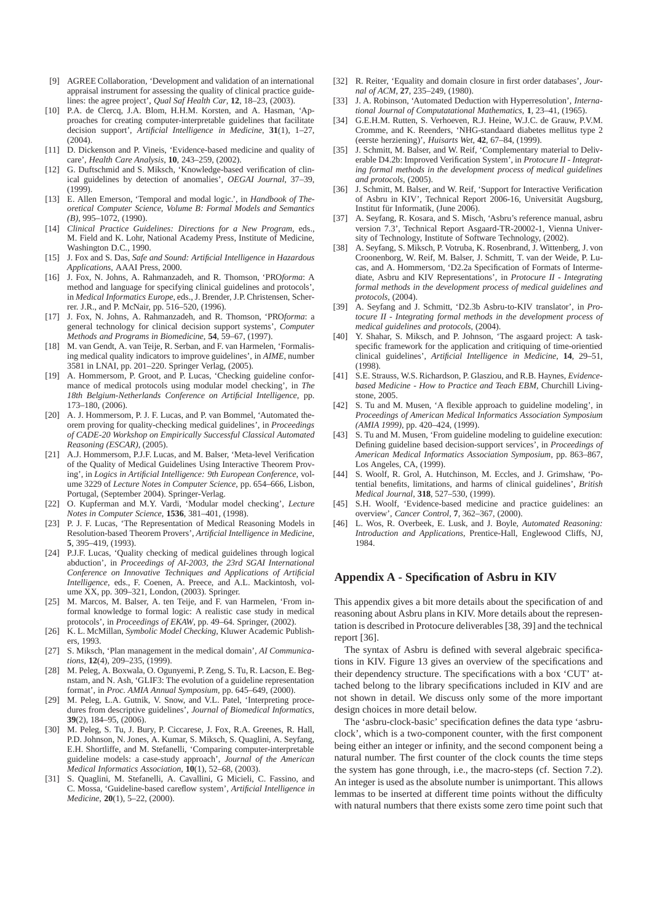- [9] AGREE Collaboration, 'Development and validation of an international appraisal instrument for assessing the quality of clinical practice guidelines: the agree project', *Qual Saf Health Car*, **12**, 18–23, (2003).
- [10] P.A. de Clercq, J.A. Blom, H.H.M. Korsten, and A. Hasman, 'Approaches for creating computer-interpretable guidelines that facilitate decision support', *Artificial Intelligence in Medicine*, **31**(1), 1–27,  $(2004)$
- [11] D. Dickenson and P. Vineis, 'Evidence-based medicine and quality of care', *Health Care Analysis*, **10**, 243–259, (2002).
- [12] G. Duftschmid and S. Miksch, 'Knowledge-based verification of clinical guidelines by detection of anomalies', *OEGAI Journal*, 37–39, (1999).
- [13] E. Allen Emerson, 'Temporal and modal logic.', in *Handbook of Theoretical Computer Science, Volume B: Formal Models and Semantics (B)*, 995–1072, (1990).
- [14] *Clinical Practice Guidelines: Directions for a New Program*, eds., M. Field and K. Lohr, National Academy Press, Institute of Medicine, Washington D.C., 1990.
- [15] J. Fox and S. Das, *Safe and Sound: Artificial Intelligence in Hazardous Applications*, AAAI Press, 2000.
- [16] J. Fox, N. Johns, A. Rahmanzadeh, and R. Thomson, 'PRO*forma*: A method and language for specifying clinical guidelines and protocols', in *Medical Informatics Europe*, eds., J. Brender, J.P. Christensen, Scherrer. J.R., and P. McNair, pp. 516–520, (1996).
- [17] J. Fox, N. Johns, A. Rahmanzadeh, and R. Thomson, 'PRO*forma*: a general technology for clinical decision support systems', *Computer Methods and Programs in Biomedicine*, **54**, 59–67, (1997).
- [18] M. van Gendt, A. van Teije, R. Serban, and F. van Harmelen, 'Formalising medical quality indicators to improve guidelines', in *AIME*, number 3581 in LNAI, pp. 201–220. Springer Verlag, (2005).
- [19] A. Hommersom, P. Groot, and P. Lucas, 'Checking guideline conformance of medical protocols using modular model checking', in *The 18th Belgium-Netherlands Conference on Artificial Intelligence*, pp. 173–180, (2006).
- [20] A. J. Hommersom, P. J. F. Lucas, and P. van Bommel, 'Automated theorem proving for quality-checking medical guidelines', in *Proceedings of CADE-20 Workshop on Empirically Successful Classical Automated Reasoning (ESCAR)*, (2005).
- [21] A.J. Hommersom, P.J.F. Lucas, and M. Balser, 'Meta-level Verification of the Quality of Medical Guidelines Using Interactive Theorem Proving', in *Logics in Artificial Intelligence: 9th European Conference*, volume 3229 of *Lecture Notes in Computer Science*, pp. 654–666, Lisbon, Portugal, (September 2004). Springer-Verlag.
- [22] O. Kupferman and M.Y. Vardi, 'Modular model checking', *Lecture Notes in Computer Science*, **1536**, 381–401, (1998).
- [23] P. J. F. Lucas, 'The Representation of Medical Reasoning Models in Resolution-based Theorem Provers', *Artificial Intelligence in Medicine*, **5**, 395–419, (1993).
- [24] P.J.F. Lucas, 'Quality checking of medical guidelines through logical abduction', in *Proceedings of AI-2003, the 23rd SGAI International Conference on Innovative Techniques and Applications of Artificial Intelligence*, eds., F. Coenen, A. Preece, and A.L. Mackintosh, volume XX, pp. 309–321, London, (2003). Springer.
- [25] M. Marcos, M. Balser, A. ten Teije, and F. van Harmelen, 'From informal knowledge to formal logic: A realistic case study in medical protocols', in *Proceedings of EKAW*, pp. 49–64. Springer, (2002).
- [26] K. L. McMillan, *Symbolic Model Checking*, Kluwer Academic Publishers, 1993.
- [27] S. Miksch, 'Plan management in the medical domain', *AI Communications*, **12**(4), 209–235, (1999).
- [28] M. Peleg, A. Boxwala, O. Ogunyemi, P. Zeng, S. Tu, R. Lacson, E. Begnstam, and N. Ash, 'GLIF3: The evolution of a guideline representation format', in *Proc. AMIA Annual Symposium*, pp. 645–649, (2000).
- [29] M. Peleg, L.A. Gutnik, V. Snow, and V.L. Patel, 'Interpreting procedures from descriptive guidelines', *Journal of Biomedical Informatics*, **39**(2), 184–95, (2006).
- [30] M. Peleg, S. Tu, J. Bury, P. Ciccarese, J. Fox, R.A. Greenes, R. Hall, P.D. Johnson, N. Jones, A. Kumar, S. Miksch, S. Quaglini, A. Seyfang, E.H. Shortliffe, and M. Stefanelli, 'Comparing computer-interpretable guideline models: a case-study approach', *Journal of the American Medical Informatics Association*, **10**(1), 52–68, (2003).
- [31] S. Quaglini, M. Stefanelli, A. Cavallini, G Micieli, C. Fassino, and C. Mossa, 'Guideline-based careflow system', *Artificial Intelligence in Medicine*, **20**(1), 5–22, (2000).
- [32] R. Reiter, 'Equality and domain closure in first order databases', *Journal of ACM*, **27**, 235–249, (1980).
- [33] J. A. Robinson, 'Automated Deduction with Hyperresolution', *International Journal of Computatational Mathematics*, **1**, 23–41, (1965).
- [34] G.E.H.M. Rutten, S. Verhoeven, R.J. Heine, W.J.C. de Grauw, P.V.M. Cromme, and K. Reenders, 'NHG-standaard diabetes mellitus type 2 (eerste herziening)', *Huisarts Wet*, **42**, 67–84, (1999).
- [35] J. Schmitt, M. Balser, and W. Reif, 'Complementary material to Deliverable D4.2b: Improved Verification System', in *Protocure II - Integrating formal methods in the development process of medical guidelines and protocols*, (2005).
- [36] J. Schmitt, M. Balser, and W. Reif, 'Support for Interactive Verification of Asbru in KIV', Technical Report 2006-16, Universität Augsburg, Institut für Informatik, (June 2006).
- [37] A. Seyfang, R. Kosara, and S. Misch, 'Asbru's reference manual, asbru version 7.3', Technical Report Asgaard-TR-20002-1, Vienna University of Technology, Institute of Software Technology, (2002).
- [38] A. Seyfang, S. Miksch, P. Votruba, K. Rosenbrand, J. Wittenberg, J. von Croonenborg, W. Reif, M. Balser, J. Schmitt, T. van der Weide, P. Lucas, and A. Hommersom, 'D2.2a Specification of Formats of Intermediate, Asbru and KIV Representations', in *Protocure II - Integrating formal methods in the development process of medical guidelines and protocols*, (2004).
- [39] A. Seyfang and J. Schmitt, 'D2.3b Asbru-to-KIV translator', in *Protocure II - Integrating formal methods in the development process of medical guidelines and protocols*, (2004).
- [40] Y. Shahar, S. Miksch, and P. Johnson, 'The asgaard project: A taskspecific framework for the application and critiquing of time-orientied clinical guidelines', *Artificial Intelligence in Medicine*, **14**, 29–51, (1998).
- [41] S.E. Strauss, W.S. Richardson, P. Glasziou, and R.B. Haynes, *Evidencebased Medicine - How to Practice and Teach EBM*, Churchill Livingstone, 2005.
- [42] S. Tu and M. Musen, 'A flexible approach to guideline modeling', in *Proceedings of American Medical Informatics Association Symposium (AMIA 1999)*, pp. 420–424, (1999).
- [43] S. Tu and M. Musen, 'From guideline modeling to guideline execution: Defining guideline based decision-support services', in *Proceedings of American Medical Informatics Association Symposium*, pp. 863–867, Los Angeles, CA, (1999).
- [44] S. Woolf, R. Grol, A. Hutchinson, M. Eccles, and J. Grimshaw, 'Potential benefits, limitations, and harms of clinical guidelines', *British Medical Journal*, **318**, 527–530, (1999).
- [45] S.H. Woolf, 'Evidence-based medicine and practice guidelines: an overview', *Cancer Control*, **7**, 362–367, (2000).
- [46] L. Wos, R. Overbeek, E. Lusk, and J. Boyle, *Automated Reasoning: Introduction and Applications*, Prentice-Hall, Englewood Cliffs, NJ, 1984.

## **Appendix A - Specification of Asbru in KIV**

This appendix gives a bit more details about the specification of and reasoning about Asbru plans in KIV. More details about the representation is described in Protocure deliverables [38, 39] and the technical report [36].

The syntax of Asbru is defined with several algebraic specifications in KIV. Figure 13 gives an overview of the specifications and their dependency structure. The specifications with a box 'CUT' attached belong to the library specifications included in KIV and are not shown in detail. We discuss only some of the more important design choices in more detail below.

The 'asbru-clock-basic' specification defines the data type 'asbruclock', which is a two-component counter, with the first component being either an integer or infinity, and the second component being a natural number. The first counter of the clock counts the time steps the system has gone through, i.e., the macro-steps (cf. Section 7.2). An integer is used as the absolute number is unimportant. This allows lemmas to be inserted at different time points without the difficulty with natural numbers that there exists some zero time point such that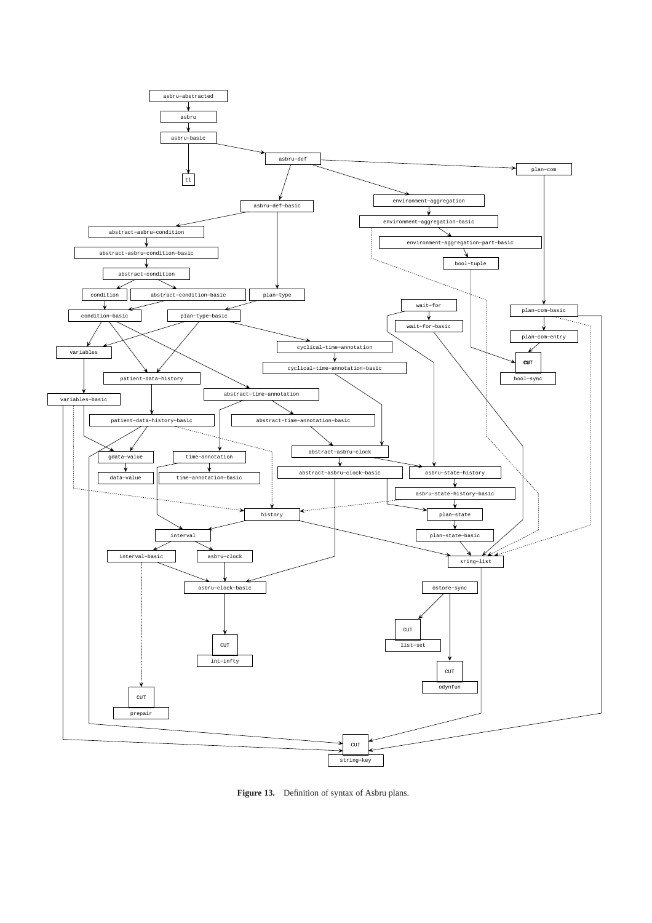

Figure 13. Definition of syntax of Asbru plans.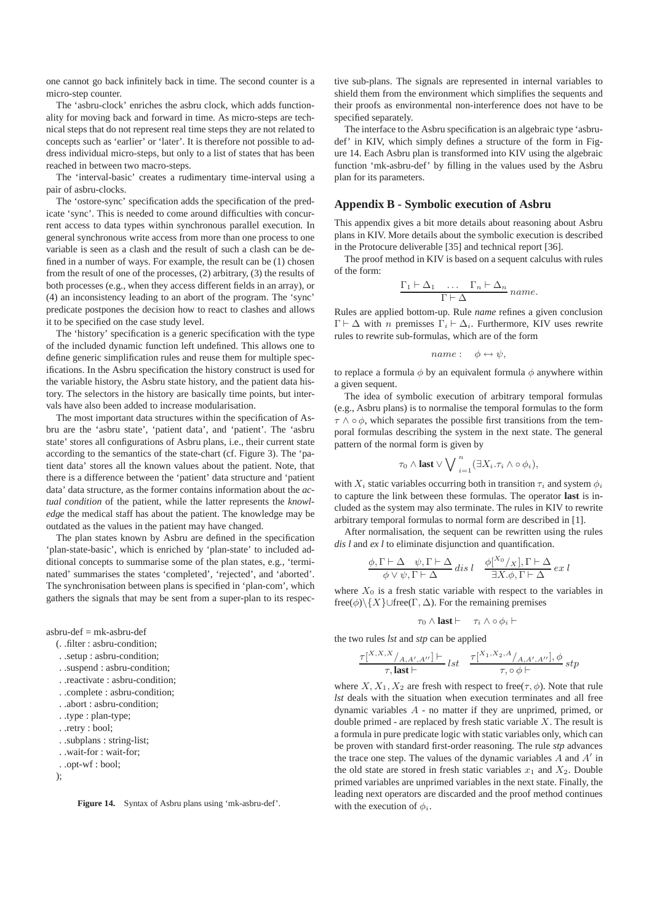one cannot go back infinitely back in time. The second counter is a micro-step counter.

The 'asbru-clock' enriches the asbru clock, which adds functionality for moving back and forward in time. As micro-steps are technical steps that do not represent real time steps they are not related to concepts such as 'earlier' or 'later'. It is therefore not possible to address individual micro-steps, but only to a list of states that has been reached in between two macro-steps.

The 'interval-basic' creates a rudimentary time-interval using a pair of asbru-clocks.

The 'ostore-sync' specification adds the specification of the predicate 'sync'. This is needed to come around difficulties with concurrent access to data types within synchronous parallel execution. In general synchronous write access from more than one process to one variable is seen as a clash and the result of such a clash can be defined in a number of ways. For example, the result can be (1) chosen from the result of one of the processes, (2) arbitrary, (3) the results of both processes (e.g., when they access different fields in an array), or (4) an inconsistency leading to an abort of the program. The 'sync' predicate postpones the decision how to react to clashes and allows it to be specified on the case study level.

The 'history' specification is a generic specification with the type of the included dynamic function left undefined. This allows one to define generic simplification rules and reuse them for multiple specifications. In the Asbru specification the history construct is used for the variable history, the Asbru state history, and the patient data history. The selectors in the history are basically time points, but intervals have also been added to increase modularisation.

The most important data structures within the specification of Asbru are the 'asbru state', 'patient data', and 'patient'. The 'asbru state' stores all configurations of Asbru plans, i.e., their current state according to the semantics of the state-chart (cf. Figure 3). The 'patient data' stores all the known values about the patient. Note, that there is a difference between the 'patient' data structure and 'patient data' data structure, as the former contains information about the *actual condition* of the patient, while the latter represents the *knowledge* the medical staff has about the patient. The knowledge may be outdated as the values in the patient may have changed.

The plan states known by Asbru are defined in the specification 'plan-state-basic', which is enriched by 'plan-state' to included additional concepts to summarise some of the plan states, e.g., 'terminated' summarises the states 'completed', 'rejected', and 'aborted'. The synchronisation between plans is specified in 'plan-com', which gathers the signals that may be sent from a super-plan to its respec-

 $asbru-def = mk-asbru-def$ 

- (. .filter : asbru-condition;
- . .setup : asbru-condition;
- . .suspend : asbru-condition;
- . .reactivate : asbru-condition;
- . .complete : asbru-condition;
- . .abort : asbru-condition;
- . .type : plan-type;
- . .retry : bool;
- . .subplans : string-list;
- . .wait-for : wait-for;
- . .opt-wf : bool;
- );



tive sub-plans. The signals are represented in internal variables to shield them from the environment which simplifies the sequents and their proofs as environmental non-interference does not have to be specified separately.

The interface to the Asbru specification is an algebraic type 'asbrudef' in KIV, which simply defines a structure of the form in Figure 14. Each Asbru plan is transformed into KIV using the algebraic function 'mk-asbru-def' by filling in the values used by the Asbru plan for its parameters.

## **Appendix B - Symbolic execution of Asbru**

This appendix gives a bit more details about reasoning about Asbru plans in KIV. More details about the symbolic execution is described in the Protocure deliverable [35] and technical report [36].

The proof method in KIV is based on a sequent calculus with rules of the form:

$$
\frac{\Gamma_1 \vdash \Delta_1 \quad \dots \quad \Gamma_n \vdash \Delta_n}{\Gamma \vdash \Delta} \, name.
$$

Rules are applied bottom-up. Rule *name* refines a given conclusion  $\Gamma \vdash \Delta$  with n premisses  $\Gamma_i \vdash \Delta_i$ . Furthermore, KIV uses rewrite rules to rewrite sub-formulas, which are of the form

$$
name: \quad \phi \leftrightarrow \psi,
$$

to replace a formula  $\phi$  by an equivalent formula  $\phi$  anywhere within a given sequent.

The idea of symbolic execution of arbitrary temporal formulas (e.g., Asbru plans) is to normalise the temporal formulas to the form  $\tau \wedge \circ \phi$ , which separates the possible first transitions from the temporal formulas describing the system in the next state. The general pattern of the normal form is given by

$$
\tau_0\wedge {\rm last} \vee \bigvee \bigvee_{i=1}^n(\exists X_i.\tau_i\wedge\circ\phi_i),
$$

with  $X_i$  static variables occurring both in transition  $\tau_i$  and system  $\phi_i$ to capture the link between these formulas. The operator **last** is included as the system may also terminate. The rules in KIV to rewrite arbitrary temporal formulas to normal form are described in [1].

After normalisation, the sequent can be rewritten using the rules *dis l* and *ex l* to eliminate disjunction and quantification.

$$
\frac{\phi, \Gamma \vdash \Delta \quad \psi, \Gamma \vdash \Delta}{\phi \vee \psi, \Gamma \vdash \Delta} \, dis \, l \quad \frac{\phi[^{X_0}/_X], \Gamma \vdash \Delta}{\exists X. \phi, \Gamma \vdash \Delta} \, ex \, l
$$

where  $X_0$  is a fresh static variable with respect to the variables in free( $\phi$ )\{X}∪free(Γ, Δ). For the remaining premises

 $\tau_0 \wedge \textbf{last} \vdash \quad \tau_i \wedge \circ \phi_i \vdash$ 

the two rules *lst* and *stp* can be applied

$$
\frac{\tau[^{X,X,X}/_{A,A',A''}]\vdash}{\tau,\textbf{last}\vdash}lst \quad \frac{\tau[^{X_1,X_2,A}/_{A,A',A''}],\phi}{\tau,\circ\phi\vdash}stp
$$

where  $X, X_1, X_2$  are fresh with respect to free( $\tau$ ,  $\phi$ ). Note that rule *lst* deals with the situation when execution terminates and all free dynamic variables A - no matter if they are unprimed, primed, or double primed - are replaced by fresh static variable  $X$ . The result is a formula in pure predicate logic with static variables only, which can be proven with standard first-order reasoning. The rule *stp* advances the trace one step. The values of the dynamic variables  $A$  and  $A'$  in the old state are stored in fresh static variables  $x_1$  and  $X_2$ . Double primed variables are unprimed variables in the next state. Finally, the leading next operators are discarded and the proof method continues with the execution of  $\phi_i$ .